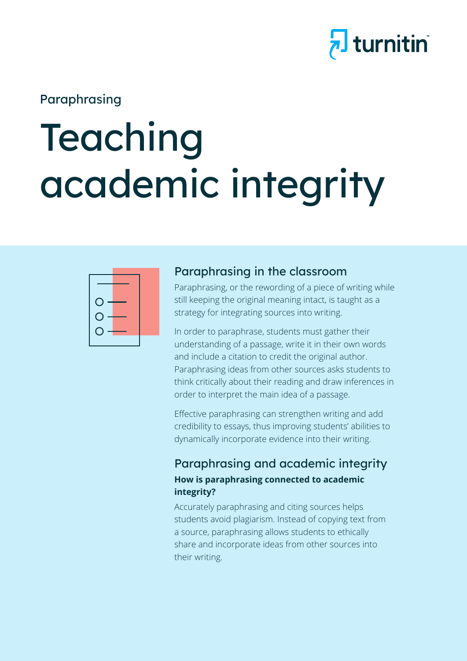## hturnitin

### Paraphrasing

# Teaching academic integrity



#### Paraphrasing in the classroom

Paraphrasing, or the rewording of a piece of writing while still keeping the original meaning intact, is taught as a strategy for integrating sources into writing.

In order to paraphrase, students must gather their understanding of a passage, write it in their own words and include a citation to credit the original author. Paraphrasing ideas from other sources asks students to think critically about their reading and draw inferences in order to interpret the main idea of a passage.

Effective paraphrasing can strengthen writing and add credibility to essays, thus improving students' abilities to dynamically incorporate evidence into their writing.

#### Paraphrasing and academic integrity **How is paraphrasing connected to academic integrity?**

Accurately paraphrasing and citing sources helps students avoid plagiarism. Instead of copying text from a source, paraphrasing allows students to ethically share and incorporate ideas from other sources into their writing.